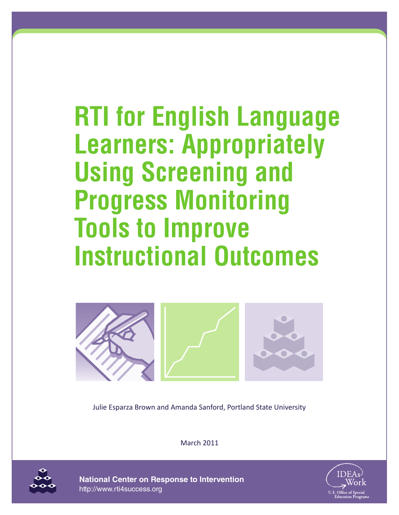# **RTI for English Language Learners: Appropriately Using Screening and Progress Monitoring Tools to Improve Instructional Outcomes**



Julie Esparza Brown and Amanda Sanford, Portland State University

March 2011



**National Center on Response to Intervention** http://www.rti4success.org

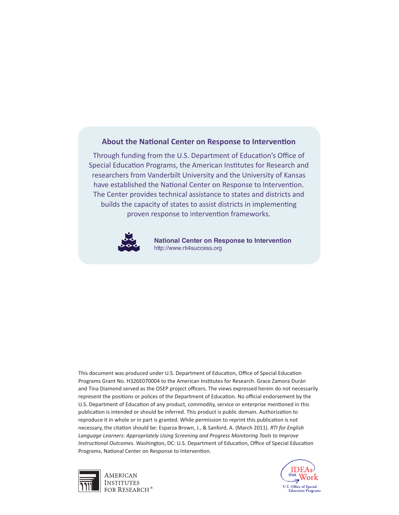#### **About the National Center on Response to Intervention**

Through funding from the U.S. Department of Education's Office of Special Education Programs, the American Institutes for Research and researchers from Vanderbilt University and the University of Kansas have established the National Center on Response to Intervention. The Center provides technical assistance to states and districts and builds the capacity of states to assist districts in implementing proven response to intervention frameworks.



**National Center on Response to Intervention** http://www.rti4success.org

This document was produced under U.S. Department of Education, Office of Special Education Programs Grant No. H326E070004 to the American Institutes for Research. Grace Zamora Durán and Tina Diamond served as the OSEP project officers. The views expressed herein do not necessarily represent the positions or polices of the Department of Education. No official endorsement by the U.S. Department of Education of any product, commodity, service or enterprise mentioned in this publication is intended or should be inferred. This product is public domain. Authorization to reproduce it in whole or in part is granted. While permission to reprint this publication is not necessary, the citation should be: Esparza Brown, J., & Sanford, A. (March 2011). *RTI for English Language Learners: Appropriately Using Screening and Progress Monitoring Tools to Improve Instructional Outcomes*. Washington, DC: U.S. Department of Education, Office of Special Education Programs, National Center on Response to Intervention.



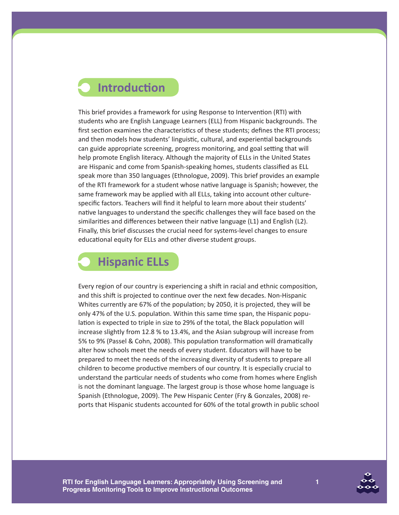

This brief provides a framework for using Response to Intervention (RTI) with students who are English Language Learners (ELL) from Hispanic backgrounds. The first section examines the characteristics of these students; defines the RTI process; and then models how students' linguistic, cultural, and experiential backgrounds can guide appropriate screening, progress monitoring, and goal setting that will help promote English literacy. Although the majority of ELLs in the United States are Hispanic and come from Spanish-speaking homes, students classified as ELL speak more than 350 languages (Ethnologue, 2009). This brief provides an example of the RTI framework for a student whose native language is Spanish; however, the same framework may be applied with all ELLs, taking into account other culturespecific factors. Teachers will find it helpful to learn more about their students' native languages to understand the specific challenges they will face based on the similarities and differences between their native language (L1) and English (L2). Finally, this brief discusses the crucial need for systems-level changes to ensure educational equity for ELLs and other diverse student groups.



Every region of our country is experiencing a shift in racial and ethnic composition, and this shift is projected to continue over the next few decades. Non-Hispanic Whites currently are 67% of the population; by 2050, it is projected, they will be only 47% of the U.S. population. Within this same time span, the Hispanic population is expected to triple in size to 29% of the total, the Black population will increase slightly from 12.8 % to 13.4%, and the Asian subgroup will increase from 5% to 9% (Passel & Cohn, 2008). This population transformation will dramatically alter how schools meet the needs of every student. Educators will have to be prepared to meet the needs of the increasing diversity of students to prepare all children to become productive members of our country. It is especially crucial to understand the particular needs of students who come from homes where English is not the dominant language. The largest group is those whose home language is Spanish (Ethnologue, 2009). The Pew Hispanic Center (Fry & Gonzales, 2008) reports that Hispanic students accounted for 60% of the total growth in public school

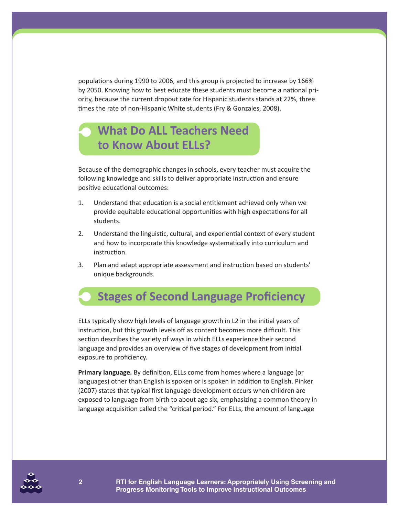populations during 1990 to 2006, and this group is projected to increase by 166% by 2050. Knowing how to best educate these students must become a national priority, because the current dropout rate for Hispanic students stands at 22%, three times the rate of non-Hispanic White students (Fry & Gonzales, 2008).

# **What Do ALL Teachers Need to Know About ELLs?**

Because of the demographic changes in schools, every teacher must acquire the following knowledge and skills to deliver appropriate instruction and ensure positive educational outcomes:

- 1. Understand that education is a social entitlement achieved only when we provide equitable educational opportunities with high expectations for all students.
- 2. Understand the linguistic, cultural, and experiential context of every student and how to incorporate this knowledge systematically into curriculum and instruction.
- 3. Plan and adapt appropriate assessment and instruction based on students' unique backgrounds.

# **Stages of Second Language Proficiency**

ELLs typically show high levels of language growth in L2 in the initial years of instruction, but this growth levels off as content becomes more difficult. This section describes the variety of ways in which ELLs experience their second language and provides an overview of five stages of development from initial exposure to proficiency.

**Primary language.** By definition, ELLs come from homes where a language (or languages) other than English is spoken or is spoken in addition to English. Pinker (2007) states that typical first language development occurs when children are exposed to language from birth to about age six, emphasizing a common theory in language acquisition called the "critical period." For ELLs, the amount of language

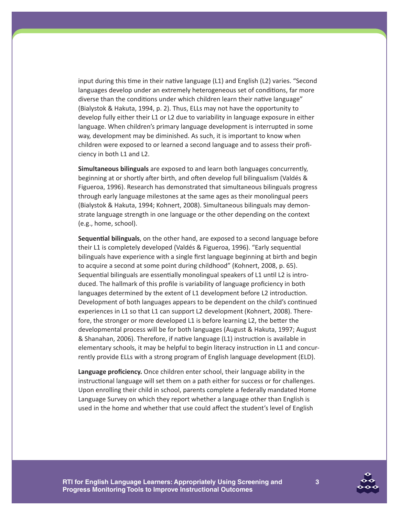input during this time in their native language (L1) and English (L2) varies. "Second languages develop under an extremely heterogeneous set of conditions, far more diverse than the conditions under which children learn their native language" (Bialystok & Hakuta, 1994, p. 2). Thus, ELLs may not have the opportunity to develop fully either their L1 or L2 due to variability in language exposure in either language. When children's primary language development is interrupted in some way, development may be diminished. As such, it is important to know when children were exposed to or learned a second language and to assess their proficiency in both L1 and L2.

**Simultaneous bilinguals** are exposed to and learn both languages concurrently, beginning at or shortly after birth, and often develop full bilingualism (Valdés & Figueroa, 1996). Research has demonstrated that simultaneous bilinguals progress through early language milestones at the same ages as their monolingual peers (Bialystok & Hakuta, 1994; Kohnert, 2008). Simultaneous bilinguals may demonstrate language strength in one language or the other depending on the context (e.g., home, school).

**Sequential bilinguals**, on the other hand, are exposed to a second language before their L1 is completely developed (Valdés & Figueroa, 1996). "Early sequential bilinguals have experience with a single first language beginning at birth and begin to acquire a second at some point during childhood" (Kohnert, 2008, p. 65). Sequential bilinguals are essentially monolingual speakers of L1 until L2 is introduced. The hallmark of this profile is variability of language proficiency in both languages determined by the extent of L1 development before L2 introduction. Development of both languages appears to be dependent on the child's continued experiences in L1 so that L1 can support L2 development (Kohnert, 2008). Therefore, the stronger or more developed L1 is before learning L2, the better the developmental process will be for both languages (August & Hakuta, 1997; August & Shanahan, 2006). Therefore, if native language (L1) instruction is available in elementary schools, it may be helpful to begin literacy instruction in L1 and concurrently provide ELLs with a strong program of English language development (ELD).

**Language proficiency.** Once children enter school, their language ability in the instructional language will set them on a path either for success or for challenges. Upon enrolling their child in school, parents complete a federally mandated Home Language Survey on which they report whether a language other than English is used in the home and whether that use could affect the student's level of English

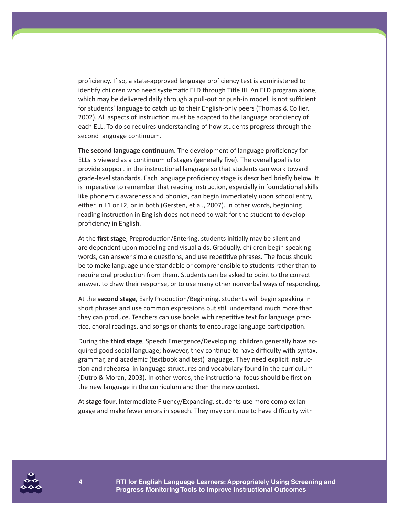proficiency. If so, a state-approved language proficiency test is administered to identify children who need systematic ELD through Title III. An ELD program alone, which may be delivered daily through a pull-out or push-in model, is not sufficient for students' language to catch up to their English-only peers (Thomas & Collier, 2002). All aspects of instruction must be adapted to the language proficiency of each ELL. To do so requires understanding of how students progress through the second language continuum.

**The second language continuum.** The development of language proficiency for ELLs is viewed as a continuum of stages (generally five). The overall goal is to provide support in the instructional language so that students can work toward grade-level standards. Each language proficiency stage is described briefly below. It is imperative to remember that reading instruction, especially in foundational skills like phonemic awareness and phonics, can begin immediately upon school entry, either in L1 or L2, or in both (Gersten, et al., 2007). In other words, beginning reading instruction in English does not need to wait for the student to develop proficiency in English.

At the **first stage**, Preproduction/Entering, students initially may be silent and are dependent upon modeling and visual aids. Gradually, children begin speaking words, can answer simple questions, and use repetitive phrases. The focus should be to make language understandable or comprehensible to students rather than to require oral production from them. Students can be asked to point to the correct answer, to draw their response, or to use many other nonverbal ways of responding.

At the **second stage**, Early Production/Beginning, students will begin speaking in short phrases and use common expressions but still understand much more than they can produce. Teachers can use books with repetitive text for language practice, choral readings, and songs or chants to encourage language participation.

During the **third stage**, Speech Emergence/Developing, children generally have acquired good social language; however, they continue to have difficulty with syntax, grammar, and academic (textbook and test) language. They need explicit instruction and rehearsal in language structures and vocabulary found in the curriculum (Dutro & Moran, 2003). In other words, the instructional focus should be first on the new language in the curriculum and then the new context.

At **stage four**, Intermediate Fluency/Expanding, students use more complex language and make fewer errors in speech. They may continue to have difficulty with



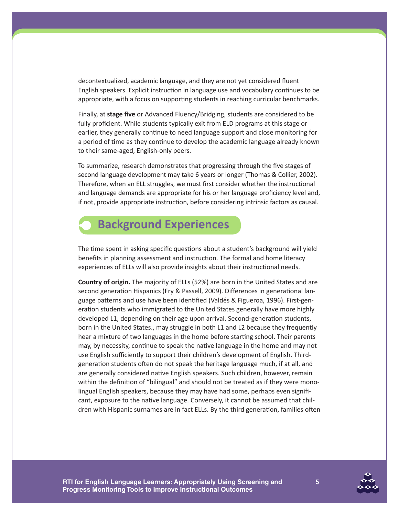decontextualized, academic language, and they are not yet considered fluent English speakers. Explicit instruction in language use and vocabulary continues to be appropriate, with a focus on supporting students in reaching curricular benchmarks.

Finally, at **stage five** or Advanced Fluency/Bridging, students are considered to be fully proficient. While students typically exit from ELD programs at this stage or earlier, they generally continue to need language support and close monitoring for a period of time as they continue to develop the academic language already known to their same-aged, English-only peers.

To summarize, research demonstrates that progressing through the five stages of second language development may take 6 years or longer (Thomas & Collier, 2002). Therefore, when an ELL struggles, we must first consider whether the instructional and language demands are appropriate for his or her language proficiency level and, if not, provide appropriate instruction, before considering intrinsic factors as causal.

# **Background Experiences**

The time spent in asking specific questions about a student's background will yield benefits in planning assessment and instruction. The formal and home literacy experiences of ELLs will also provide insights about their instructional needs.

**Country of origin.** The majority of ELLs (52%) are born in the United States and are second generation Hispanics (Fry & Passell, 2009). Differences in generational language patterns and use have been identified (Valdés & Figueroa, 1996). First-generation students who immigrated to the United States generally have more highly developed L1, depending on their age upon arrival. Second-generation students, born in the United States., may struggle in both L1 and L2 because they frequently hear a mixture of two languages in the home before starting school. Their parents may, by necessity, continue to speak the native language in the home and may not use English sufficiently to support their children's development of English. Thirdgeneration students often do not speak the heritage language much, if at all, and are generally considered native English speakers. Such children, however, remain within the definition of "bilingual" and should not be treated as if they were monolingual English speakers, because they may have had some, perhaps even significant, exposure to the native language. Conversely, it cannot be assumed that children with Hispanic surnames are in fact ELLs. By the third generation, families often

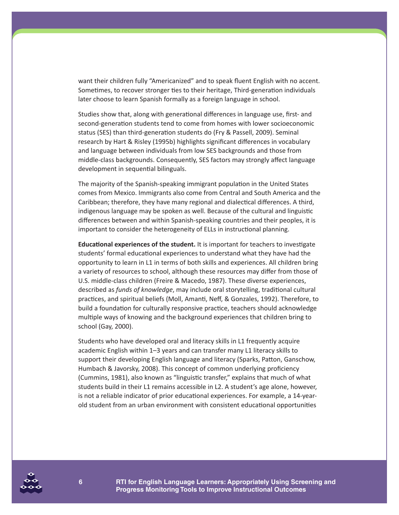want their children fully "Americanized" and to speak fluent English with no accent. Sometimes, to recover stronger ties to their heritage, Third-generation individuals later choose to learn Spanish formally as a foreign language in school.

Studies show that, along with generational differences in language use, first- and second-generation students tend to come from homes with lower socioeconomic status (SES) than third-generation students do (Fry & Passell, 2009). Seminal research by Hart & Risley (1995b) highlights significant differences in vocabulary and language between individuals from low SES backgrounds and those from middle-class backgrounds. Consequently, SES factors may strongly affect language development in sequential bilinguals.

The majority of the Spanish-speaking immigrant population in the United States comes from Mexico. Immigrants also come from Central and South America and the Caribbean; therefore, they have many regional and dialectical differences. A third, indigenous language may be spoken as well. Because of the cultural and linguistic differences between and within Spanish-speaking countries and their peoples, it is important to consider the heterogeneity of ELLs in instructional planning.

**Educational experiences of the student.** It is important for teachers to investigate students' formal educational experiences to understand what they have had the opportunity to learn in L1 in terms of both skills and experiences. All children bring a variety of resources to school, although these resources may differ from those of U.S. middle-class children (Freire & Macedo, 1987). These diverse experiences, described as *funds of knowledge*, may include oral storytelling, traditional cultural practices, and spiritual beliefs (Moll, Amanti, Neff, & Gonzales, 1992). Therefore, to build a foundation for culturally responsive practice, teachers should acknowledge multiple ways of knowing and the background experiences that children bring to school (Gay, 2000).

Students who have developed oral and literacy skills in L1 frequently acquire academic English within 1–3 years and can transfer many L1 literacy skills to support their developing English language and literacy (Sparks, Patton, Ganschow, Humbach & Javorsky, 2008). This concept of common underlying proficiency (Cummins, 1981), also known as "linguistic transfer," explains that much of what students build in their L1 remains accessible in L2. A student's age alone, however, is not a reliable indicator of prior educational experiences. For example, a 14-yearold student from an urban environment with consistent educational opportunities

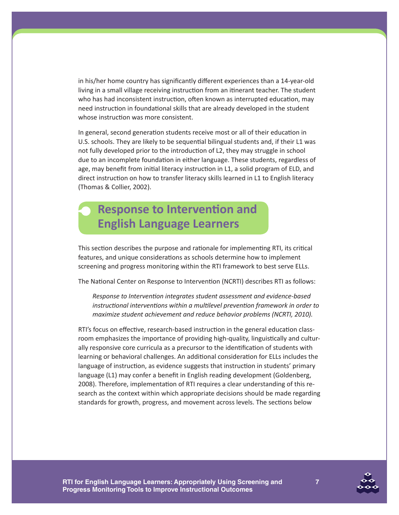in his/her home country has significantly different experiences than a 14-year-old living in a small village receiving instruction from an itinerant teacher. The student who has had inconsistent instruction, often known as interrupted education, may need instruction in foundational skills that are already developed in the student whose instruction was more consistent.

In general, second generation students receive most or all of their education in U.S. schools. They are likely to be sequential bilingual students and, if their L1 was not fully developed prior to the introduction of L2, they may struggle in school due to an incomplete foundation in either language. These students, regardless of age, may benefit from initial literacy instruction in L1, a solid program of ELD, and direct instruction on how to transfer literacy skills learned in L1 to English literacy (Thomas & Collier, 2002).

## **Response to Intervention and English Language Learners**

This section describes the purpose and rationale for implementing RTI, its critical features, and unique considerations as schools determine how to implement screening and progress monitoring within the RTI framework to best serve ELLs.

The National Center on Response to Intervention (NCRTI) describes RTI as follows:

*Response to Intervention integrates student assessment and evidence-based instructional interventions within a multilevel prevention framework in order to maximize student achievement and reduce behavior problems (NCRTI, 2010).*

RTI's focus on effective, research-based instruction in the general education classroom emphasizes the importance of providing high-quality, linguistically and culturally responsive core curricula as a precursor to the identification of students with learning or behavioral challenges. An additional consideration for ELLs includes the language of instruction, as evidence suggests that instruction in students' primary language (L1) may confer a benefit in English reading development (Goldenberg, 2008). Therefore, implementation of RTI requires a clear understanding of this research as the context within which appropriate decisions should be made regarding standards for growth, progress, and movement across levels. The sections below

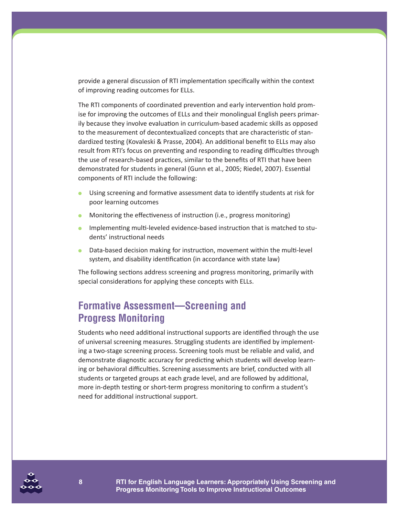provide a general discussion of RTI implementation specifically within the context of improving reading outcomes for ELLs.

The RTI components of coordinated prevention and early intervention hold promise for improving the outcomes of ELLs and their monolingual English peers primarily because they involve evaluation in curriculum-based academic skills as opposed to the measurement of decontextualized concepts that are characteristic of standardized testing (Kovaleski & Prasse, 2004). An additional benefit to ELLs may also result from RTI's focus on preventing and responding to reading difficulties through the use of research-based practices, similar to the benefits of RTI that have been demonstrated for students in general (Gunn et al., 2005; Riedel, 2007). Essential components of RTI include the following:

- **I** Using screening and formative assessment data to identify students at risk for poor learning outcomes
- Monitoring the effectiveness of instruction (i.e., progress monitoring)
- <sup>l</sup> Implementing multi-leveled evidence-based instruction that is matched to students' instructional needs
- Data-based decision making for instruction, movement within the multi-level system, and disability identification (in accordance with state law)

The following sections address screening and progress monitoring, primarily with special considerations for applying these concepts with ELLs.

### **Formative Assessment—Screening and Progress Monitoring**

Students who need additional instructional supports are identified through the use of universal screening measures. Struggling students are identified by implementing a two-stage screening process. Screening tools must be reliable and valid, and demonstrate diagnostic accuracy for predicting which students will develop learning or behavioral difficulties. Screening assessments are brief, conducted with all students or targeted groups at each grade level, and are followed by additional, more in-depth testing or short-term progress monitoring to confirm a student's need for additional instructional support.

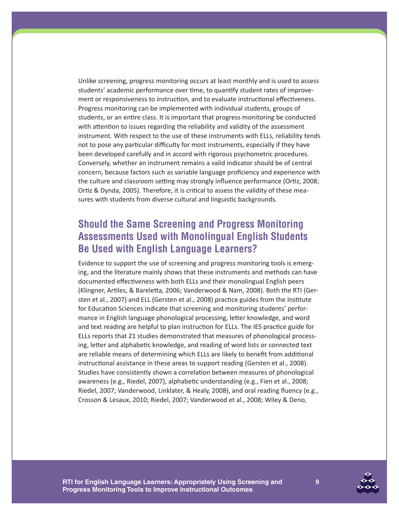Unlike screening, progress monitoring occurs at least monthly and is used to assess students' academic performance over time, to quantify student rates of improvement or responsiveness to instruction, and to evaluate instructional effectiveness. Progress monitoring can be implemented with individual students, groups of students, or an entire class. It is important that progress monitoring be conducted with attention to issues regarding the reliability and validity of the assessment instrument. With respect to the use of these instruments with ELLs, reliability tends not to pose any particular difficulty for most instruments, especially if they have been developed carefully and in accord with rigorous psychometric procedures. Conversely, whether an instrument remains a valid indicator should be of central concern, because factors such as variable language proficiency and experience with the culture and classroom setting may strongly influence performance (Ortiz, 2008; Ortiz & Dynda, 2005). Therefore, it is critical to assess the validity of these measures with students from diverse cultural and linguistic backgrounds.

## **Should the Same Screening and Progress Monitoring Assessments Used with Monolingual English Students Be Used with English Language Learners?**

Evidence to support the use of screening and progress monitoring tools is emerging, and the literature mainly shows that these instruments and methods can have documented effectiveness with both ELLs and their monolingual English peers (Klingner, Artiles, & Bareletta, 2006; Vanderwood & Nam, 2008). Both the RTI (Gersten et al., 2007) and ELL (Gersten et al., 2008) practice guides from the Institute for Education Sciences indicate that screening and monitoring students' performance in English language phonological processing, letter knowledge, and word and text reading are helpful to plan instruction for ELLs. The IES practice guide for ELLs reports that 21 studies demonstrated that measures of phonological processing, letter and alphabetic knowledge, and reading of word lists or connected text are reliable means of determining which ELLs are likely to benefit from additional instructional assistance in these areas to support reading (Gersten et al., 2008). Studies have consistently shown a correlation between measures of phonological awareness (e.g., Riedel, 2007), alphabetic understanding (e.g., Fien et al., 2008; Riedel, 2007; Vanderwood, Linklater, & Healy, 2008), and oral reading fluency (e.g., Crosson & Lesaux, 2010; Riedel, 2007; Vanderwood et al., 2008; Wiley & Deno,

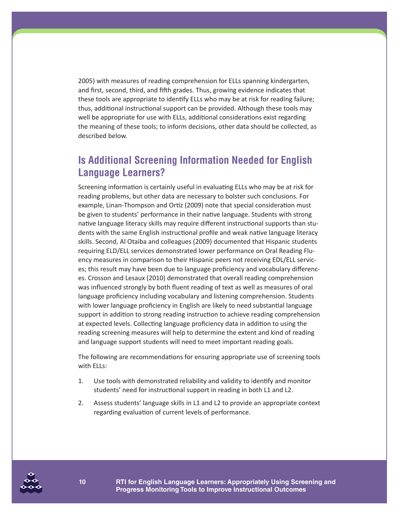2005) with measures of reading comprehension for ELLs spanning kindergarten, and first, second, third, and fifth grades. Thus, growing evidence indicates that these tools are appropriate to identify ELLs who may be at risk for reading failure; thus, additional instructional support can be provided. Although these tools may well be appropriate for use with ELLs, additional considerations exist regarding the meaning of these tools; to inform decisions, other data should be collected, as described below.

## **Is Additional Screening Information Needed for English Language Learners?**

Screening information is certainly useful in evaluating ELLs who may be at risk for reading problems, but other data are necessary to bolster such conclusions. For example, Linan-Thompson and Ortiz (2009) note that special consideration must be given to students' performance in their native language. Students with strong native language literacy skills may require different instructional supports than students with the same English instructional profile and weak native language literacy skills. Second, Al Otaiba and colleagues (2009) documented that Hispanic students requiring ELD/ELL services demonstrated lower performance on Oral Reading Fluency measures in comparison to their Hispanic peers not receiving EDL/ELL services; this result may have been due to language proficiency and vocabulary differences. Crosson and Lesaux (2010) demonstrated that overall reading comprehension was influenced strongly by both fluent reading of text as well as measures of oral language proficiency including vocabulary and listening comprehension. Students with lower language proficiency in English are likely to need substantial language support in addition to strong reading instruction to achieve reading comprehension at expected levels. Collecting language proficiency data in addition to using the reading screening measures will help to determine the extent and kind of reading and language support students will need to meet important reading goals.

The following are recommendations for ensuring appropriate use of screening tools with ELLs:

- 1. Use tools with demonstrated reliability and validity to identify and monitor students' need for instructional support in reading in both L1 and L2.
- 2. Assess students' language skills in L1 and L2 to provide an appropriate context regarding evaluation of current levels of performance.

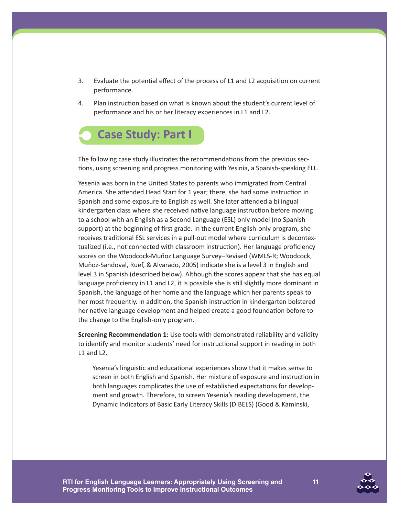- 3. Evaluate the potential effect of the process of L1 and L2 acquisition on current performance.
- 4. Plan instruction based on what is known about the student's current level of performance and his or her literacy experiences in L1 and L2.

# **Case Study: Part I**

The following case study illustrates the recommendations from the previous sections, using screening and progress monitoring with Yesinia, a Spanish-speaking ELL.

Yesenia was born in the United States to parents who immigrated from Central America. She attended Head Start for 1 year; there, she had some instruction in Spanish and some exposure to English as well. She later attended a bilingual kindergarten class where she received native language instruction before moving to a school with an English as a Second Language (ESL) only model (no Spanish support) at the beginning of first grade. In the current English-only program, she receives traditional ESL services in a pull-out model where curriculum is decontextualized (i.e., not connected with classroom instruction). Her language proficiency scores on the Woodcock-Muñoz Language Survey–Revised (WMLS-R; Woodcock, Muñoz-Sandoval, Ruef, & Alvarado, 2005) indicate she is a level 3 in English and level 3 in Spanish (described below). Although the scores appear that she has equal language proficiency in L1 and L2, it is possible she is still slightly more dominant in Spanish, the language of her home and the language which her parents speak to her most frequently. In addition, the Spanish instruction in kindergarten bolstered her native language development and helped create a good foundation before to the change to the English-only program.

**Screening Recommendation 1:** Use tools with demonstrated reliability and validity to identify and monitor students' need for instructional support in reading in both L<sub>1</sub> and L<sub>2</sub>.

Yesenia's linguistic and educational experiences show that it makes sense to screen in both English and Spanish. Her mixture of exposure and instruction in both languages complicates the use of established expectations for development and growth. Therefore, to screen Yesenia's reading development, the Dynamic Indicators of Basic Early Literacy Skills (DIBELS) (Good & Kaminski,

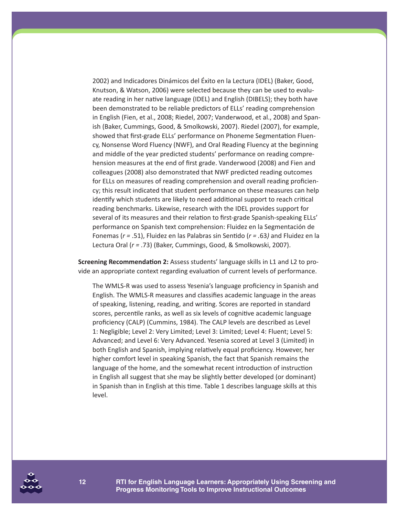2002) and Indicadores Dinámicos del Éxito en la Lectura (IDEL) (Baker, Good, Knutson, & Watson, 2006) were selected because they can be used to evaluate reading in her native language (IDEL) and English (DIBELS); they both have been demonstrated to be reliable predictors of ELLs' reading comprehension in English (Fien, et al., 2008; Riedel, 2007; Vanderwood, et al., 2008) and Spanish (Baker, Cummings, Good, & Smolkowski, 2007). Riedel (2007), for example, showed that first-grade ELLs' performance on Phoneme Segmentation Fluency, Nonsense Word Fluency (NWF), and Oral Reading Fluency at the beginning and middle of the year predicted students' performance on reading comprehension measures at the end of first grade. Vanderwood (2008) and Fien and colleagues (2008) also demonstrated that NWF predicted reading outcomes for ELLs on measures of reading comprehension and overall reading proficiency; this result indicated that student performance on these measures can help identify which students are likely to need additional support to reach critical reading benchmarks. Likewise, research with the IDEL provides support for several of its measures and their relation to first-grade Spanish-speaking ELLs' performance on Spanish text comprehension: Fluidez en la Segmentación de Fonemas (*r =* .51), Fluidez en las Palabras sin Sentido (*r = .*63*)* and Fluidez en la Lectura Oral (*r =* .73) (Baker, Cummings, Good, & Smolkowski, 2007).

**Screening Recommendation 2:** Assess students' language skills in L1 and L2 to provide an appropriate context regarding evaluation of current levels of performance.

The WMLS-R was used to assess Yesenia's language proficiency in Spanish and English. The WMLS-R measures and classifies academic language in the areas of speaking, listening, reading, and writing. Scores are reported in standard scores, percentile ranks, as well as six levels of cognitive academic language proficiency (CALP) (Cummins, 1984). The CALP levels are described as Level 1: Negligible; Level 2: Very Limited; Level 3: Limited; Level 4: Fluent; Level 5: Advanced; and Level 6: Very Advanced. Yesenia scored at Level 3 (Limited) in both English and Spanish, implying relatively equal proficiency. However, her higher comfort level in speaking Spanish, the fact that Spanish remains the language of the home, and the somewhat recent introduction of instruction in English all suggest that she may be slightly better developed (or dominant) in Spanish than in English at this time. Table 1 describes language skills at this level.

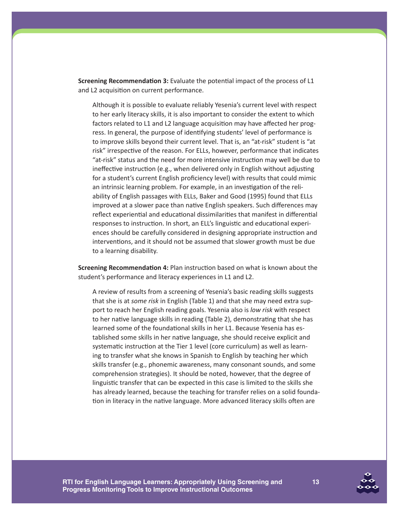**Screening Recommendation 3:** Evaluate the potential impact of the process of L1 and L2 acquisition on current performance.

Although it is possible to evaluate reliably Yesenia's current level with respect to her early literacy skills, it is also important to consider the extent to which factors related to L1 and L2 language acquisition may have affected her progress. In general, the purpose of identifying students' level of performance is to improve skills beyond their current level. That is, an "at-risk" student is "at risk" irrespective of the reason. For ELLs, however, performance that indicates "at-risk" status and the need for more intensive instruction may well be due to ineffective instruction (e.g., when delivered only in English without adjusting for a student's current English proficiency level) with results that could mimic an intrinsic learning problem. For example, in an investigation of the reliability of English passages with ELLs, Baker and Good (1995) found that ELLs improved at a slower pace than native English speakers. Such differences may reflect experiential and educational dissimilarities that manifest in differential responses to instruction. In short, an ELL's linguistic and educational experiences should be carefully considered in designing appropriate instruction and interventions, and it should not be assumed that slower growth must be due to a learning disability.

**Screening Recommendation 4:** Plan instruction based on what is known about the student's performance and literacy experiences in L1 and L2.

A review of results from a screening of Yesenia's basic reading skills suggests that she is at *some risk* in English (Table 1) and that she may need extra support to reach her English reading goals. Yesenia also is *low risk* with respect to her native language skills in reading (Table 2), demonstrating that she has learned some of the foundational skills in her L1. Because Yesenia has established some skills in her native language, she should receive explicit and systematic instruction at the Tier 1 level (core curriculum) as well as learning to transfer what she knows in Spanish to English by teaching her which skills transfer (e.g., phonemic awareness, many consonant sounds, and some comprehension strategies). It should be noted, however, that the degree of linguistic transfer that can be expected in this case is limited to the skills she has already learned, because the teaching for transfer relies on a solid foundation in literacy in the native language. More advanced literacy skills often are

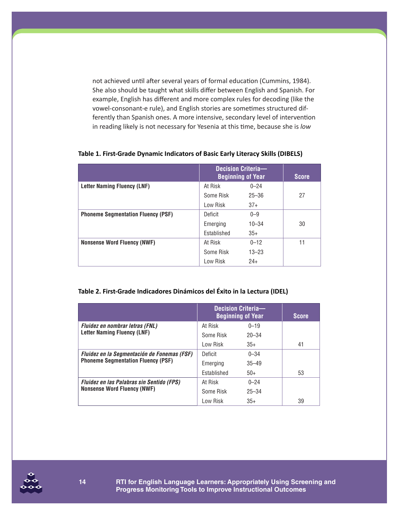not achieved until after several years of formal education (Cummins, 1984). She also should be taught what skills differ between English and Spanish. For example, English has different and more complex rules for decoding (like the vowel-consonant-e rule), and English stories are sometimes structured differently than Spanish ones. A more intensive, secondary level of intervention in reading likely is not necessary for Yesenia at this time, because she is *low* 

|                                           | <b>Decision Criteria-</b><br><b>Beginning of Year</b> |           | <b>Score</b> |
|-------------------------------------------|-------------------------------------------------------|-----------|--------------|
| <b>Letter Naming Fluency (LNF)</b>        | At Risk                                               | $0 - 24$  |              |
|                                           | Some Risk                                             | $25 - 36$ | 27           |
|                                           | Low Risk                                              | $37+$     |              |
| <b>Phoneme Segmentation Fluency (PSF)</b> | Deficit                                               | $0 - 9$   |              |
|                                           | Emerging                                              | $10 - 34$ | 30           |
|                                           | Established                                           | $35+$     |              |
| <b>Nonsense Word Fluency (NWF)</b>        | At Risk                                               | $0 - 12$  | 11           |
|                                           | Some Risk                                             | $13 - 23$ |              |
|                                           | Low Risk                                              | $24+$     |              |

#### **Table 1. First-Grade Dynamic Indicators of Basic Early Literacy Skills (DIBELS)**

#### **Table 2. First-Grade Indicadores Dinámicos del Éxito in la Lectura (IDEL)**

|                                                                                          | <b>Decision Criteria-</b><br><b>Beginning of Year</b> |           | <b>Score</b> |
|------------------------------------------------------------------------------------------|-------------------------------------------------------|-----------|--------------|
| <b>Fluidez en nombrar letras (FNL)</b><br>Letter Naming Fluency (LNF)                    | At Risk                                               | $0 - 19$  |              |
|                                                                                          | Some Risk                                             | $20 - 34$ |              |
|                                                                                          | Low Risk                                              | $35+$     | 41           |
| Fluidez en la Segmentación de Fonemas (FSF)<br><b>Phoneme Segmentation Fluency (PSF)</b> | Deficit                                               | $0 - 34$  |              |
|                                                                                          | Emeraina                                              | $35 - 49$ |              |
|                                                                                          | <b>Established</b>                                    | $50+$     | 53           |
| Fluidez en las Palabras sin Sentido (FPS)<br><b>Nonsense Word Fluency (NWF)</b>          | At Risk                                               | $0 - 24$  |              |
|                                                                                          | Some Risk                                             | $25 - 34$ |              |
|                                                                                          | Low Risk                                              | $35+$     | 39           |

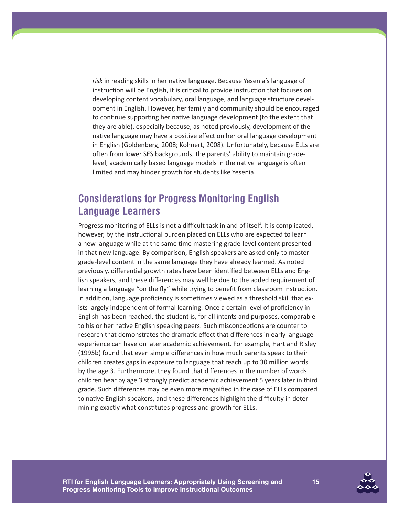*risk* in reading skills in her native language. Because Yesenia's language of instruction will be English, it is critical to provide instruction that focuses on developing content vocabulary, oral language, and language structure development in English. However, her family and community should be encouraged to continue supporting her native language development (to the extent that they are able), especially because, as noted previously, development of the native language may have a positive effect on her oral language development in English (Goldenberg, 2008; Kohnert, 2008). Unfortunately, because ELLs are often from lower SES backgrounds, the parents' ability to maintain gradelevel, academically based language models in the native language is often limited and may hinder growth for students like Yesenia.

#### **Considerations for Progress Monitoring English Language Learners**

Progress monitoring of ELLs is not a difficult task in and of itself. It is complicated, however, by the instructional burden placed on ELLs who are expected to learn a new language while at the same time mastering grade-level content presented in that new language. By comparison, English speakers are asked only to master grade-level content in the same language they have already learned. As noted previously, differential growth rates have been identified between ELLs and English speakers, and these differences may well be due to the added requirement of learning a language "on the fly" while trying to benefit from classroom instruction. In addition, language proficiency is sometimes viewed as a threshold skill that exists largely independent of formal learning. Once a certain level of proficiency in English has been reached, the student is, for all intents and purposes, comparable to his or her native English speaking peers. Such misconceptions are counter to research that demonstrates the dramatic effect that differences in early language experience can have on later academic achievement. For example, Hart and Risley (1995b) found that even simple differences in how much parents speak to their children creates gaps in exposure to language that reach up to 30 million words by the age 3. Furthermore, they found that differences in the number of words children hear by age 3 strongly predict academic achievement 5 years later in third grade. Such differences may be even more magnified in the case of ELLs compared to native English speakers, and these differences highlight the difficulty in determining exactly what constitutes progress and growth for ELLs.

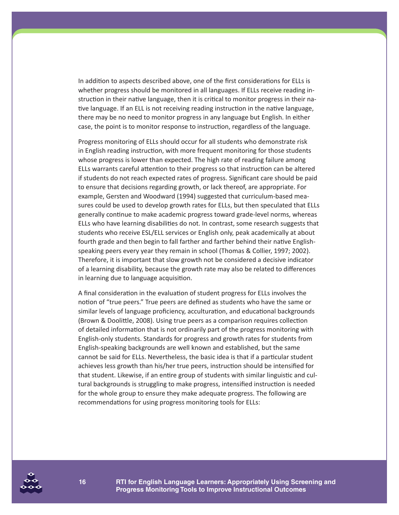In addition to aspects described above, one of the first considerations for ELLs is whether progress should be monitored in all languages. If ELLs receive reading instruction in their native language, then it is critical to monitor progress in their native language. If an ELL is not receiving reading instruction in the native language, there may be no need to monitor progress in any language but English. In either case, the point is to monitor response to instruction, regardless of the language.

Progress monitoring of ELLs should occur for all students who demonstrate risk in English reading instruction, with more frequent monitoring for those students whose progress is lower than expected. The high rate of reading failure among ELLs warrants careful attention to their progress so that instruction can be altered if students do not reach expected rates of progress. Significant care should be paid to ensure that decisions regarding growth, or lack thereof, are appropriate. For example, Gersten and Woodward (1994) suggested that curriculum-based measures could be used to develop growth rates for ELLs, but then speculated that ELLs generally continue to make academic progress toward grade-level norms, whereas ELLs who have learning disabilities do not. In contrast, some research suggests that students who receive ESL/ELL services or English only, peak academically at about fourth grade and then begin to fall farther and farther behind their native Englishspeaking peers every year they remain in school (Thomas & Collier, 1997; 2002). Therefore, it is important that slow growth not be considered a decisive indicator of a learning disability, because the growth rate may also be related to differences in learning due to language acquisition.

A final consideration in the evaluation of student progress for ELLs involves the notion of "true peers." True peers are defined as students who have the same or similar levels of language proficiency, acculturation, and educational backgrounds (Brown & Doolittle, 2008). Using true peers as a comparison requires collection of detailed information that is not ordinarily part of the progress monitoring with English-only students. Standards for progress and growth rates for students from English-speaking backgrounds are well known and established, but the same cannot be said for ELLs. Nevertheless, the basic idea is that if a particular student achieves less growth than his/her true peers, instruction should be intensified for that student. Likewise, if an entire group of students with similar linguistic and cultural backgrounds is struggling to make progress, intensified instruction is needed for the whole group to ensure they make adequate progress. The following are recommendations for using progress monitoring tools for ELLs:

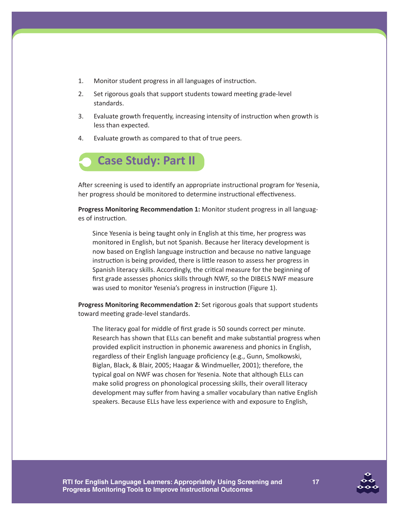- 1. Monitor student progress in all languages of instruction.
- 2. Set rigorous goals that support students toward meeting grade-level standards.
- 3. Evaluate growth frequently, increasing intensity of instruction when growth is less than expected.
- 4. Evaluate growth as compared to that of true peers.



After screening is used to identify an appropriate instructional program for Yesenia, her progress should be monitored to determine instructional effectiveness.

**Progress Monitoring Recommendation 1:** Monitor student progress in all languages of instruction.

Since Yesenia is being taught only in English at this time, her progress was monitored in English, but not Spanish. Because her literacy development is now based on English language instruction and because no native language instruction is being provided, there is little reason to assess her progress in Spanish literacy skills. Accordingly, the critical measure for the beginning of first grade assesses phonics skills through NWF, so the DIBELS NWF measure was used to monitor Yesenia's progress in instruction (Figure 1).

**Progress Monitoring Recommendation 2:** Set rigorous goals that support students toward meeting grade-level standards.

The literacy goal for middle of first grade is 50 sounds correct per minute. Research has shown that ELLs can benefit and make substantial progress when provided explicit instruction in phonemic awareness and phonics in English, regardless of their English language proficiency (e.g., Gunn, Smolkowski, Biglan, Black, & Blair, 2005; Haagar & Windmueller, 2001); therefore, the typical goal on NWF was chosen for Yesenia. Note that although ELLs can make solid progress on phonological processing skills, their overall literacy development may suffer from having a smaller vocabulary than native English speakers. Because ELLs have less experience with and exposure to English,

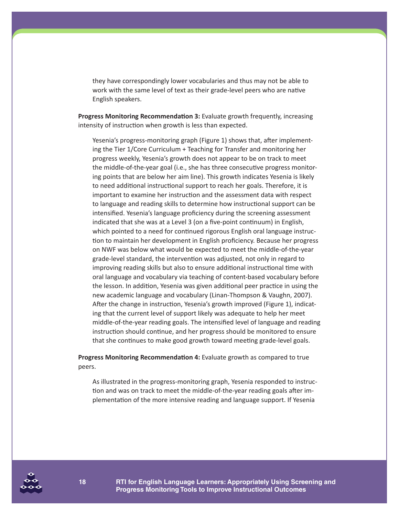they have correspondingly lower vocabularies and thus may not be able to work with the same level of text as their grade-level peers who are native English speakers.

**Progress Monitoring Recommendation 3:** Evaluate growth frequently, increasing intensity of instruction when growth is less than expected.

Yesenia's progress-monitoring graph (Figure 1) shows that, after implementing the Tier 1/Core Curriculum + Teaching for Transfer and monitoring her progress weekly, Yesenia's growth does not appear to be on track to meet the middle-of-the-year goal (i.e., she has three consecutive progress monitoring points that are below her aim line). This growth indicates Yesenia is likely to need additional instructional support to reach her goals. Therefore, it is important to examine her instruction and the assessment data with respect to language and reading skills to determine how instructional support can be intensified. Yesenia's language proficiency during the screening assessment indicated that she was at a Level 3 (on a five-point continuum) in English, which pointed to a need for continued rigorous English oral language instruction to maintain her development in English proficiency. Because her progress on NWF was below what would be expected to meet the middle-of-the-year grade-level standard, the intervention was adjusted, not only in regard to improving reading skills but also to ensure additional instructional time with oral language and vocabulary via teaching of content-based vocabulary before the lesson. In addition, Yesenia was given additional peer practice in using the new academic language and vocabulary (Linan-Thompson & Vaughn, 2007). After the change in instruction, Yesenia's growth improved (Figure 1), indicating that the current level of support likely was adequate to help her meet middle-of-the-year reading goals. The intensified level of language and reading instruction should continue, and her progress should be monitored to ensure that she continues to make good growth toward meeting grade-level goals.

**Progress Monitoring Recommendation 4:** Evaluate growth as compared to true peers.

As illustrated in the progress-monitoring graph, Yesenia responded to instruction and was on track to meet the middle-of-the-year reading goals after implementation of the more intensive reading and language support. If Yesenia

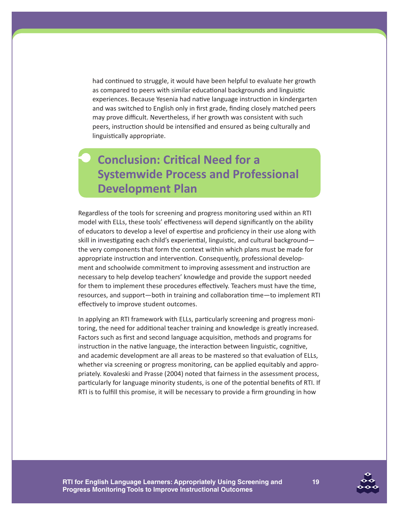had continued to struggle, it would have been helpful to evaluate her growth as compared to peers with similar educational backgrounds and linguistic experiences. Because Yesenia had native language instruction in kindergarten and was switched to English only in first grade, finding closely matched peers may prove difficult. Nevertheless, if her growth was consistent with such peers, instruction should be intensified and ensured as being culturally and linguistically appropriate.

# **Conclusion: Critical Need for a Systemwide Process and Professional Development Plan**

Regardless of the tools for screening and progress monitoring used within an RTI model with ELLs, these tools' effectiveness will depend significantly on the ability of educators to develop a level of expertise and proficiency in their use along with skill in investigating each child's experiential, linguistic, and cultural background the very components that form the context within which plans must be made for appropriate instruction and intervention. Consequently, professional development and schoolwide commitment to improving assessment and instruction are necessary to help develop teachers' knowledge and provide the support needed for them to implement these procedures effectively. Teachers must have the time, resources, and support—both in training and collaboration time—to implement RTI effectively to improve student outcomes.

In applying an RTI framework with ELLs, particularly screening and progress monitoring, the need for additional teacher training and knowledge is greatly increased. Factors such as first and second language acquisition, methods and programs for instruction in the native language, the interaction between linguistic, cognitive, and academic development are all areas to be mastered so that evaluation of ELLs, whether via screening or progress monitoring, can be applied equitably and appropriately. Kovaleski and Prasse (2004) noted that fairness in the assessment process, particularly for language minority students, is one of the potential benefits of RTI. If RTI is to fulfill this promise, it will be necessary to provide a firm grounding in how

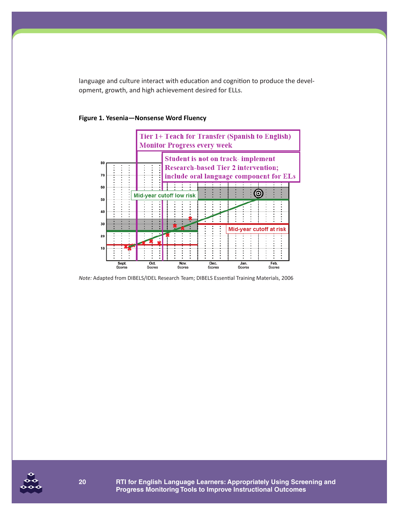language and culture interact with education and cognition to produce the development, growth, and high achievement desired for ELLs.





*Note:* Adapted from DIBELS/IDEL Research Team; DIBELS Essential Training Materials, 2006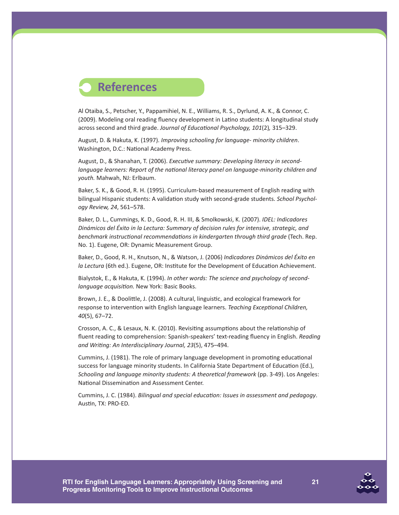

Al Otaiba, S., Petscher, Y., Pappamihiel, N. E., Williams, R. S., Dyrlund, A. K., & Connor, C. (2009). Modeling oral reading fluency development in Latino students: A longitudinal study across second and third grade. *Journal of Educational Psychology, 101*(2)*,* 315–329.

August, D. & Hakuta, K. (1997). *Improving schooling for language- minority children*. Washington, D.C.: National Academy Press.

August, D., & Shanahan, T. (2006). *Executive summary: Developing literacy in secondlanguage learners: Report of the national literacy panel on language-minority children and youth.* Mahwah, NJ: Erlbaum.

Baker, S. K., & Good, R. H. (1995). Curriculum-based measurement of English reading with bilingual Hispanic students: A validation study with second-grade students. *School Psychology Review, 24*, 561–578.

Baker, D. L., Cummings, K. D., Good, R. H. III, & Smolkowski, K. (2007). *IDEL: Indicadores Dinámicos del Éxito in la Lectura: Summary of decision rules for intensive, strategic, and benchmark instructional recommendations in kindergarten through third grade* (Tech. Rep. No. 1). Eugene, OR: Dynamic Measurement Group.

Baker, D., Good, R. H., Knutson, N., & Watson, J. (2006) *Indicadores Dinámicos del Éxito en la Lectura* (6th ed.). Eugene, OR: Institute for the Development of Education Achievement.

Bialystok, E., & Hakuta, K. (1994). *In other words: The science and psychology of secondlanguage acquisition.* New York: Basic Books.

Brown, J. E., & Doolittle, J. (2008). A cultural, linguistic, and ecological framework for response to intervention with English language learners. *Teaching Exceptional Children, 40*(5), 67–72.

Crosson, A. C., & Lesaux, N. K. (2010). Revisiting assumptions about the relationship of fluent reading to comprehension: Spanish-speakers' text-reading fluency in English. *Reading and Writing: An Interdisciplinary Journal, 23*(5), 475–494.

Cummins, J. (1981). The role of primary language development in promoting educational success for language minority students. In California State Department of Education (Ed.), *Schooling and language minority students: A theoretical framework* (pp. 3-49). Los Angeles: National Dissemination and Assessment Center.

Cummins, J. C. (1984). *Bilingual and special education: Issues in assessment and pedagogy*. Austin, TX: PRO-ED.

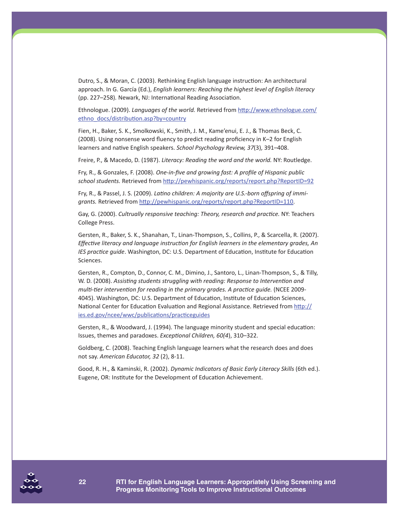Dutro, S., & Moran, C. (2003). Rethinking English language instruction: An architectural approach. In G. García (Ed.), *English learners: Reaching the highest level of English literacy*  (pp. 227–258)*.* Newark, NJ: International Reading Association.

Ethnologue. (2009). *Languages of the world.* Retrieved from http://www.ethnologue.com/ ethno\_docs/distribution.asp?by=country

Fien, H., Baker, S. K., Smolkowski, K., Smith, J. M., Kame'enui, E. J., & Thomas Beck, C. (2008). Using nonsense word fluency to predict reading proficiency in K–2 for English learners and native English speakers. *School Psychology Review, 37*(3), 391–408.

Freire, P., & Macedo, D. (1987). *Literacy: Reading the word and the world.* NY: Routledge.

Fry, R., & Gonzales, F. (2008). *One-in-five and growing fast: A profile of Hispanic public school students.* Retrieved from http://pewhispanic.org/reports/report.php?ReportID=92

Fry, R., & Passel, J. S. (2009). *Latino children: A majority are U.S.-born offspring of immigrants.* Retrieved from http://pewhispanic.org/reports/report.php?ReportID=110.

Gay, G. (2000). *Cultrually responsive teaching: Theory, research and practice.* NY: Teachers College Press.

Gersten, R., Baker, S. K., Shanahan, T., Linan-Thompson, S., Collins, P., & Scarcella, R. (2007). *Effective literacy and language instruction for English learners in the elementary grades, An IES practice guide*. Washington, DC: U.S. Department of Education, Institute for Education Sciences.

Gersten, R., Compton, D., Connor, C. M., Dimino, J., Santoro, L., Linan-Thompson, S., & Tilly, W. D. (2008). *Assisting students struggling with reading: Response to Intervention and multi-tier intervention for reading in the primary grades. A practice guide.* (NCEE 2009- 4045). Washington, DC: U.S. Department of Education, Institute of Education Sciences, National Center for Education Evaluation and Regional Assistance. Retrieved from http:// ies.ed.gov/ncee/wwc/publications/practiceguides

Gersten, R., & Woodward, J. (1994). The language minority student and special education: Issues, themes and paradoxes. *Exceptional Children, 60(4*), 310–322.

Goldberg, C. (2008). Teaching English language learners what the research does and does not say. *American Educator, 32* (2), 8-11.

Good, R. H., & Kaminski, R. (2002). *Dynamic Indicators of Basic Early Literacy Skills* (6th ed.). Eugene, OR: Institute for the Development of Education Achievement.

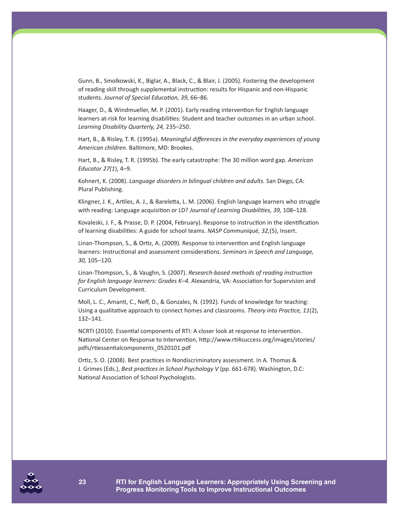Gunn, B., Smolkowski, K., Biglar, A., Black, C., & Blair, J. (2005). Fostering the development of reading skill through supplemental instruction: results for Hispanic and non-Hispanic students. *Journal of Special Education, 39*, 66–86.

Haager, D., & Windmueller, M. P. (2001). Early reading intervention for English language learners at-risk for learning disabilities: Student and teacher outcomes in an urban school. *Learning Disability Quarterly, 24,* 235–250.

Hart, B., & Risley, T. R. (1995a). *Meaningful differences in the everyday experiences of young American children.* Baltimore, MD: Brookes.

Hart, B., & Risley, T. R. (1995b). The early catastrophe: The 30 million word gap. *American Educator 27(1*), 4–9.

Kohnert, K. (2008). *Language disorders in bilingual children and adults.* San Diego, CA: Plural Publishing.

Klingner, J. K., Artiles, A. J., & Bareletta, L. M. (2006). English language learners who struggle with reading: Language acquisition or LD? *Journal of Learning Disabilities, 39,* 108–128.

Kovaleski, J. F., & Prasse, D. P. (2004, February). Response to instruction in the identification of learning disabilities: A guide for school teams. *NASP Communiqué, 32,*(5), Insert.

Linan-Thompson, S., & Ortiz, A. (2009). Response to intervention and English language learners: Instructional and assessment considerations. *Seminars in Speech and Language, 30,* 105–120.

Linan-Thompson, S., & Vaughn, S. (2007). *Research-based methods of reading instruction for English language learners: Grades K–4.* Alexandria, VA: Association for Supervision and Curriculum Development.

Moll, L. C., Amanti, C., Neff, D., & Gonzales, N. (1992). Funds of knowledge for teaching: Using a qualitative approach to connect homes and classrooms. *Theory into Practice, 11*(2), 132–141.

NCRTI (2010). Essential components of RTI: A closer look at response to intervention. National Center on Response to Intervention, http://www.rti4success.org/images/stories/ pdfs/rtiessentialcomponents\_0520101.pdf

Ortiz, S. O. (2008). Best practices in Nondiscriminatory assessment. In A. Thomas & J. Grimes (Eds.), *Best practices in School Psychology V* (pp. 661-678). Washington, D.C: National Association of School Psychologists.



**RTI for English Language Learners: Appropriately Using Screening and 23 23 RTI for English Language Learners: Appropriately Using Screening and Progress Monitoring Tools to Improve Instructional Outcomes Progress Monitoring Tools to Improve Instructional Outcomes**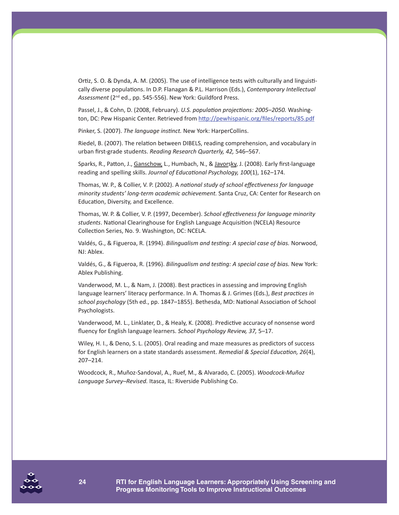Ortiz, S. O. & Dynda, A. M. (2005). The use of intelligence tests with culturally and linguistically diverse populations. In D.P. Flanagan & P.L. Harrison (Eds.), *Contemporary Intellectual Assessment* (2nd ed., pp. 545-556). New York: Guildford Press.

Passel, J., & Cohn, D. (2008, February). *U.S. population projections: 2005–2050.* Washington, DC: Pew Hispanic Center. Retrieved from http://pewhispanic.org/files/reports/85.pdf

Pinker, S. (2007). *The language instinct.* New York: HarperCollins.

Riedel, B. (2007). The relation between DIBELS, reading comprehension, and vocabulary in urban first-grade students. *Reading Research Quarterly, 42,* 546–567.

Sparks, R., Patton, J., Ganschow, L., Humbach, N., & Javorsky, J. (2008). Early first-language reading and spelling skills. *Journal of Educational Psychology, 100*(1), 162–174.

Thomas, W. P., & Collier, V. P. (2002). A *national study of school effectiveness for language minority students' long-term academic achievement.* Santa Cruz, CA: Center for Research on Education, Diversity, and Excellence.

Thomas, W. P. & Collier, V. P. (1997, December). *School effectiveness for language minority students*. National Clearinghouse for English Language Acquisition (NCELA) Resource Collection Series, No. 9. Washington, DC: NCELA.

Valdés, G., & Figueroa, R. (1994). *Bilingualism and testing: A special case of bias.* Norwood, NJ: Ablex.

Valdés, G., & Figueroa, R. (1996). *Bilingualism and testing: A special case of bias.* New York: Ablex Publishing.

Vanderwood, M. L., & Nam, J. (2008). Best practices in assessing and improving English language learners' literacy performance. In A. Thomas & J. Grimes (Eds.), *Best practices in school psychology* (5th ed., pp. 1847–1855). Bethesda, MD: National Association of School Psychologists.

Vanderwood, M. L., Linklater, D., & Healy, K. (2008). Predictive accuracy of nonsense word fluency for English language learners. *School Psychology Review, 37,* 5–17.

Wiley, H. I., & Deno, S. L. (2005). Oral reading and maze measures as predictors of success for English learners on a state standards assessment. *Remedial & Special Education, 26*(4), 207–214.

Woodcock, R., Muñoz-Sandoval, A., Ruef, M., & Alvarado, C. (2005). *Woodcock-Muñoz Language Survey–Revised.* Itasca, IL: Riverside Publishing Co.